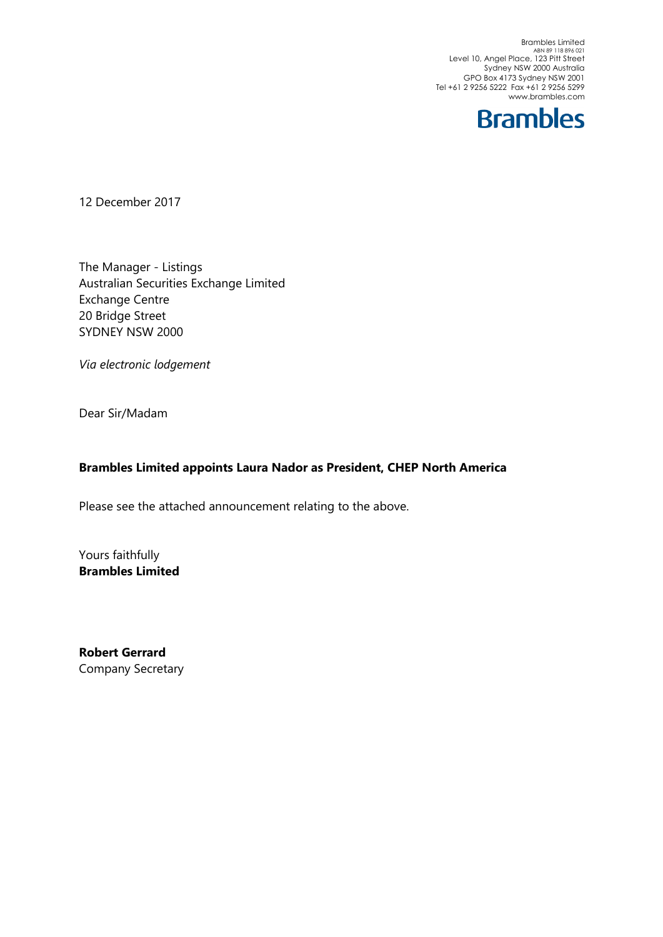Brambles Limited<br>ABN 89 118 896 021<br>Level 10, Angel Place, 123 Pitt Street Sydney NSW 2000 Australia GPO Box 4173 Sydney NSW 2001 Tel +61 2 9256 5222 Fax +61 2 9256 5299 www.brambles.com



12 December 2017

The Manager - Listings Australian Securities Exchange Limited Exchange Centre 20 Bridge Street SYDNEY NSW 2000

*Via electronic lodgement*

Dear Sir/Madam

### **Brambles Limited appoints Laura Nador as President, CHEP North America**

Please see the attached announcement relating to the above.

Yours faithfully **Brambles Limited**

**Robert Gerrard** Company Secretary